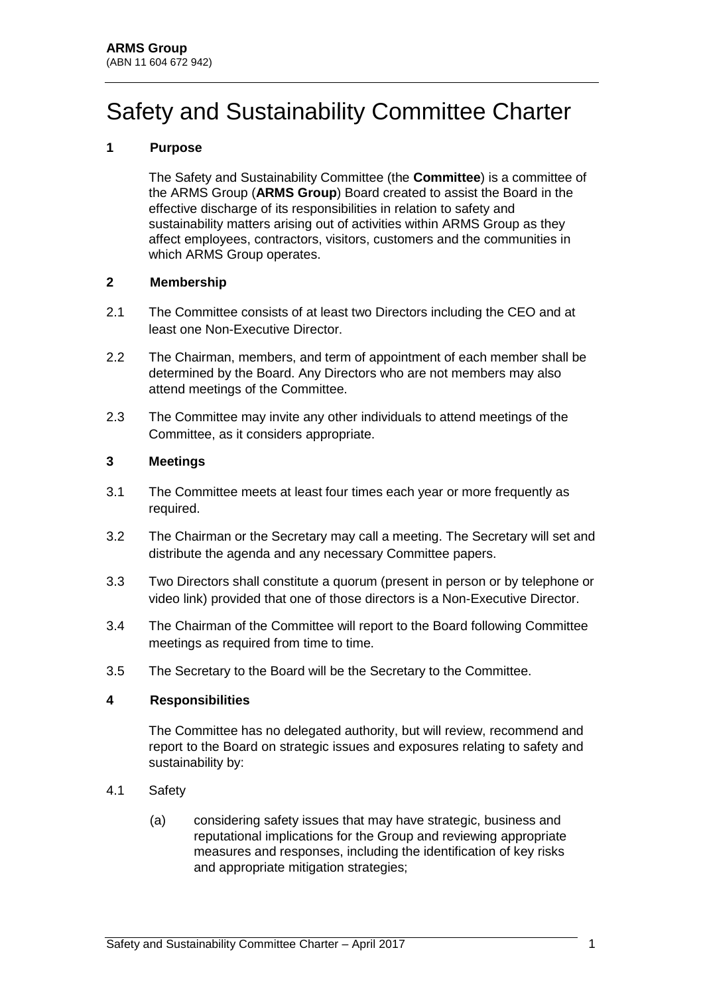# Safety and Sustainability Committee Charter

# **1 Purpose**

The Safety and Sustainability Committee (the **Committee**) is a committee of the ARMS Group (**ARMS Group**) Board created to assist the Board in the effective discharge of its responsibilities in relation to safety and sustainability matters arising out of activities within ARMS Group as they affect employees, contractors, visitors, customers and the communities in which ARMS Group operates.

## **2 Membership**

- 2.1 The Committee consists of at least two Directors including the CEO and at least one Non-Executive Director.
- 2.2 The Chairman, members, and term of appointment of each member shall be determined by the Board. Any Directors who are not members may also attend meetings of the Committee.
- 2.3 The Committee may invite any other individuals to attend meetings of the Committee, as it considers appropriate.

#### **3 Meetings**

- 3.1 The Committee meets at least four times each year or more frequently as required.
- 3.2 The Chairman or the Secretary may call a meeting. The Secretary will set and distribute the agenda and any necessary Committee papers.
- 3.3 Two Directors shall constitute a quorum (present in person or by telephone or video link) provided that one of those directors is a Non-Executive Director.
- 3.4 The Chairman of the Committee will report to the Board following Committee meetings as required from time to time.
- 3.5 The Secretary to the Board will be the Secretary to the Committee.

#### **4 Responsibilities**

The Committee has no delegated authority, but will review, recommend and report to the Board on strategic issues and exposures relating to safety and sustainability by:

- 4.1 Safety
	- (a) considering safety issues that may have strategic, business and reputational implications for the Group and reviewing appropriate measures and responses, including the identification of key risks and appropriate mitigation strategies;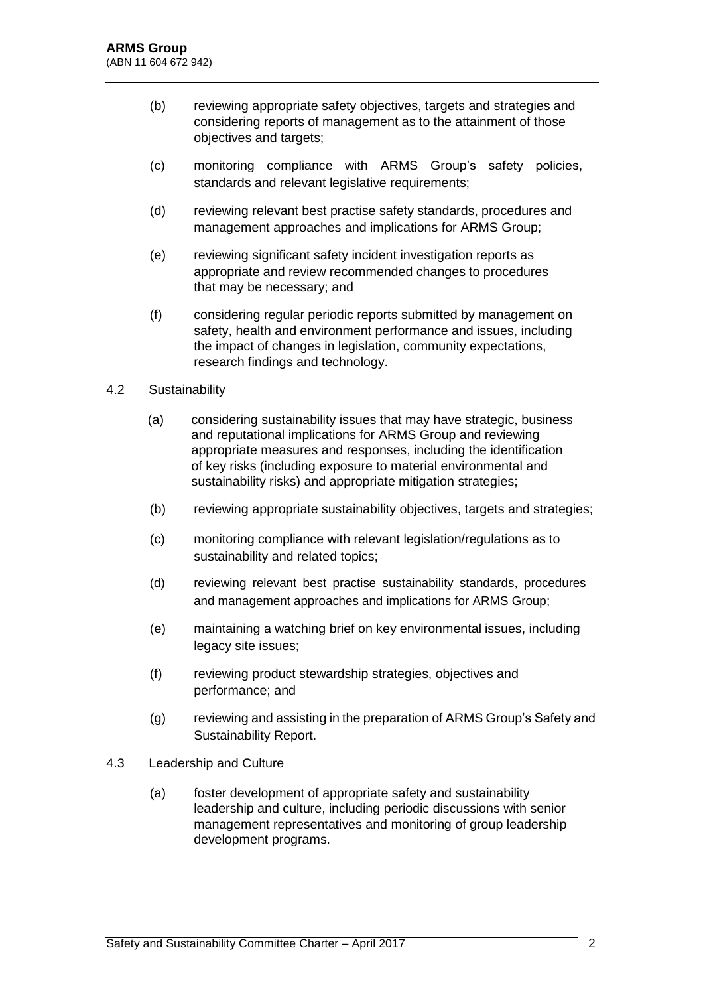- (b) reviewing appropriate safety objectives, targets and strategies and considering reports of management as to the attainment of those objectives and targets;
- (c) monitoring compliance with ARMS Group's safety policies, standards and relevant legislative requirements;
- (d) reviewing relevant best practise safety standards, procedures and management approaches and implications for ARMS Group;
- (e) reviewing significant safety incident investigation reports as appropriate and review recommended changes to procedures that may be necessary; and
- (f) considering regular periodic reports submitted by management on safety, health and environment performance and issues, including the impact of changes in legislation, community expectations, research findings and technology.

#### 4.2 Sustainability

- (a) considering sustainability issues that may have strategic, business and reputational implications for ARMS Group and reviewing appropriate measures and responses, including the identification of key risks (including exposure to material environmental and sustainability risks) and appropriate mitigation strategies;
- (b) reviewing appropriate sustainability objectives, targets and strategies;
- (c) monitoring compliance with relevant legislation/regulations as to sustainability and related topics;
- (d) reviewing relevant best practise sustainability standards, procedures and management approaches and implications for ARMS Group;
- (e) maintaining a watching brief on key environmental issues, including legacy site issues;
- (f) reviewing product stewardship strategies, objectives and performance; and
- (g) reviewing and assisting in the preparation of ARMS Group's Safety and Sustainability Report.
- 4.3 Leadership and Culture
	- (a) foster development of appropriate safety and sustainability leadership and culture, including periodic discussions with senior management representatives and monitoring of group leadership development programs.